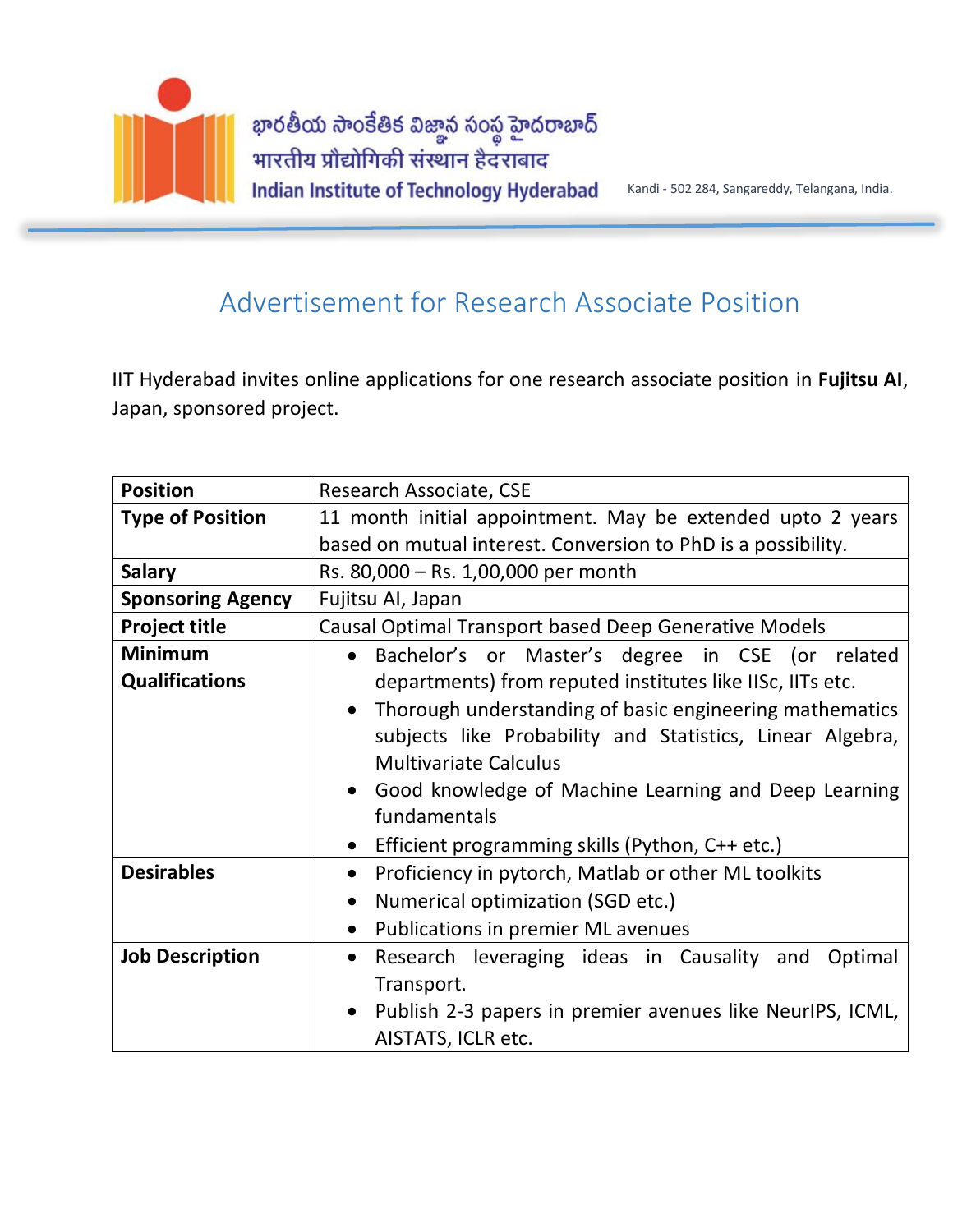

## Advertisement for Research Associate Position

IIT Hyderabad invites online applications for one research associate position in **Fujitsu AI**, Japan, sponsored project.

| <b>Position</b>          | Research Associate, CSE                                                |
|--------------------------|------------------------------------------------------------------------|
| <b>Type of Position</b>  | 11 month initial appointment. May be extended upto 2 years             |
|                          | based on mutual interest. Conversion to PhD is a possibility.          |
| <b>Salary</b>            | Rs. 80,000 - Rs. 1,00,000 per month                                    |
| <b>Sponsoring Agency</b> | Fujitsu Al, Japan                                                      |
| <b>Project title</b>     | Causal Optimal Transport based Deep Generative Models                  |
| <b>Minimum</b>           | Bachelor's or Master's degree in CSE (or related<br>$\bullet$          |
| <b>Qualifications</b>    | departments) from reputed institutes like IISc, IITs etc.              |
|                          | Thorough understanding of basic engineering mathematics<br>$\bullet$   |
|                          | subjects like Probability and Statistics, Linear Algebra,              |
|                          | <b>Multivariate Calculus</b>                                           |
|                          | Good knowledge of Machine Learning and Deep Learning<br>$\bullet$      |
|                          | fundamentals                                                           |
|                          | Efficient programming skills (Python, C++ etc.)<br>$\bullet$           |
| <b>Desirables</b>        | Proficiency in pytorch, Matlab or other ML toolkits<br>$\bullet$       |
|                          | Numerical optimization (SGD etc.)<br>$\bullet$                         |
|                          | Publications in premier ML avenues<br>$\bullet$                        |
| <b>Job Description</b>   | Research leveraging ideas in Causality and Optimal<br>$\bullet$        |
|                          | Transport.                                                             |
|                          | Publish 2-3 papers in premier avenues like NeurlPS, ICML,<br>$\bullet$ |
|                          | AISTATS, ICLR etc.                                                     |